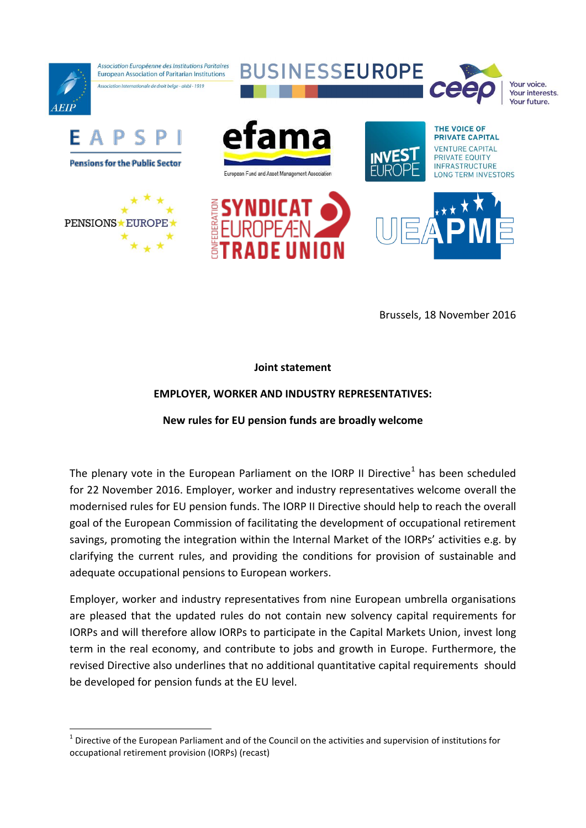

Brussels, 18 November 2016

## **Joint statement**

## **EMPLOYER, WORKER AND INDUSTRY REPRESENTATIVES:**

## **New rules for EU pension funds are broadly welcome**

The plenary vote in the European Parliament on the IORP II Directive<sup>1</sup> has been scheduled for 22 November 2016. Employer, worker and industry representatives welcome overall the modernised rules for EU pension funds. The IORP II Directive should help to reach the overall goal of the European Commission of facilitating the development of occupational retirement savings, promoting the integration within the Internal Market of the IORPs' activities e.g. by clarifying the current rules, and providing the conditions for provision of sustainable and adequate occupational pensions to European workers.

Employer, worker and industry representatives from nine European umbrella organisations are pleased that the updated rules do not contain new solvency capital requirements for IORPs and will therefore allow IORPs to participate in the Capital Markets Union, invest long term in the real economy, and contribute to jobs and growth in Europe. Furthermore, the revised Directive also underlines that no additional quantitative capital requirements should be developed for pension funds at the EU level.

1

 $1$  Directive of the European Parliament and of the Council on the activities and supervision of institutions for occupational retirement provision (IORPs) (recast)